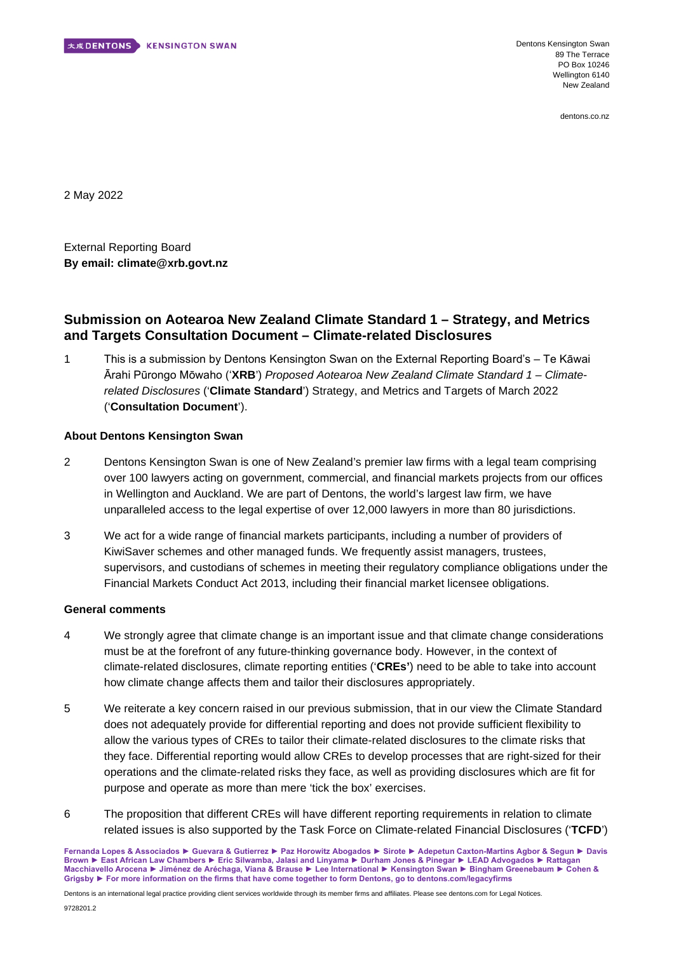

Dentons Kensington Swan 89 The Terrace PO Box 10246 Wellington 6140 New Zealand

dentons.co.nz

2 May 2022

External Reporting Board **By email: climate@xrb.govt.nz** 

# **Submission on Aotearoa New Zealand Climate Standard 1 – Strategy, and Metrics and Targets Consultation Document – Climate-related Disclosures**

1 This is a submission by Dentons Kensington Swan on the External Reporting Board's – Te Kāwai Ārahi Pūrongo Mōwaho ('**XRB**') *Proposed Aotearoa New Zealand Climate Standard 1 – Climaterelated Disclosures* ('**Climate Standard**') Strategy, and Metrics and Targets of March 2022 ('**Consultation Document**').

## **About Dentons Kensington Swan**

- 2 Dentons Kensington Swan is one of New Zealand's premier law firms with a legal team comprising over 100 lawyers acting on government, commercial, and financial markets projects from our offices in Wellington and Auckland. We are part of Dentons, the world's largest law firm, we have unparalleled access to the legal expertise of over 12,000 lawyers in more than 80 jurisdictions.
- 3 We act for a wide range of financial markets participants, including a number of providers of KiwiSaver schemes and other managed funds. We frequently assist managers, trustees, supervisors, and custodians of schemes in meeting their regulatory compliance obligations under the Financial Markets Conduct Act 2013, including their financial market licensee obligations.

### **General comments**

- 4 We strongly agree that climate change is an important issue and that climate change considerations must be at the forefront of any future-thinking governance body. However, in the context of climate-related disclosures, climate reporting entities ('**CREs'**) need to be able to take into account how climate change affects them and tailor their disclosures appropriately.
- 5 We reiterate a key concern raised in our previous submission, that in our view the Climate Standard does not adequately provide for differential reporting and does not provide sufficient flexibility to allow the various types of CREs to tailor their climate-related disclosures to the climate risks that they face. Differential reporting would allow CREs to develop processes that are right-sized for their operations and the climate-related risks they face, as well as providing disclosures which are fit for purpose and operate as more than mere 'tick the box' exercises.
- 6 The proposition that different CREs will have different reporting requirements in relation to climate related issues is also supported by the Task Force on Climate-related Financial Disclosures ('**TCFD**')

Fernanda Lopes & Associados ▶ Guevara & Gutierrez ▶ Paz Horowitz Abogados ▶ Sirote ▶ Adepetun Caxton-Martins Agbor & Segun ▶ Davis Brown ► East African Law Chambers ► Eric Silwamba, Jalasi and Linyama ► Durham Jones & Pinegar ► LEAD Advogados ► Rattagan Macchiavello Arocena ▶ Jiménez de Aréchaga, Viana & Brause ▶ Lee International ▶ Kensington Swan ▶ Bingham Greenebaum ▶ Cohen & Grigsby ▶ For more information on the firms that have come together to form Dentons, go to dentons.com/legacyfirms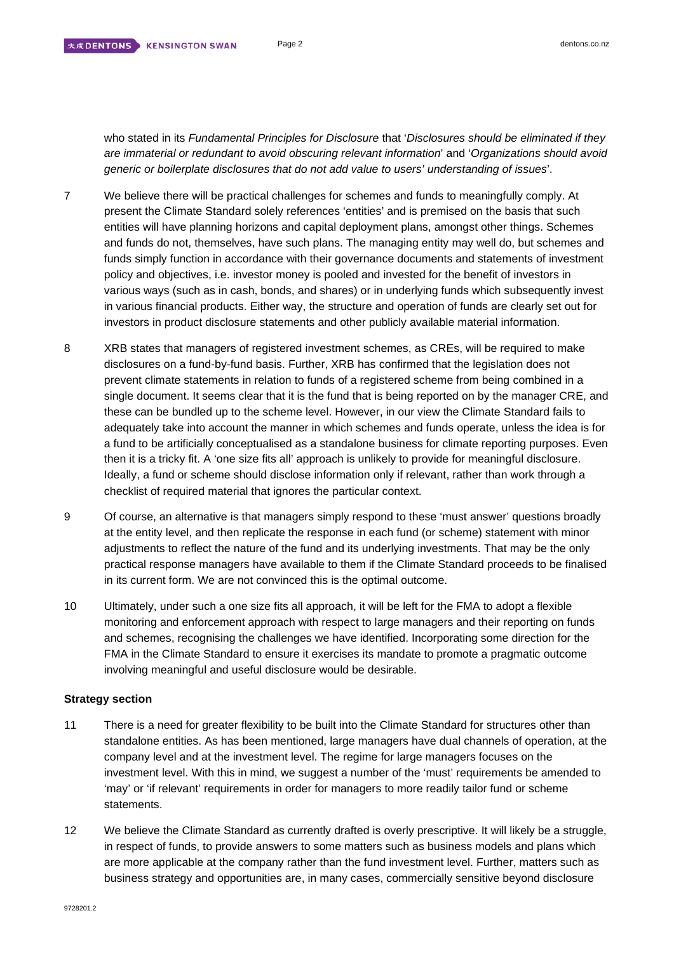who stated in its *Fundamental Principles for Disclosure* that '*Disclosures should be eliminated if they are immaterial or redundant to avoid obscuring relevant information*' and '*Organizations should avoid generic or boilerplate disclosures that do not add value to users' understanding of issues*'.

- 7 We believe there will be practical challenges for schemes and funds to meaningfully comply. At present the Climate Standard solely references 'entities' and is premised on the basis that such entities will have planning horizons and capital deployment plans, amongst other things. Schemes and funds do not, themselves, have such plans. The managing entity may well do, but schemes and funds simply function in accordance with their governance documents and statements of investment policy and objectives, i.e. investor money is pooled and invested for the benefit of investors in various ways (such as in cash, bonds, and shares) or in underlying funds which subsequently invest in various financial products. Either way, the structure and operation of funds are clearly set out for investors in product disclosure statements and other publicly available material information.
- 8 XRB states that managers of registered investment schemes, as CREs, will be required to make disclosures on a fund-by-fund basis. Further, XRB has confirmed that the legislation does not prevent climate statements in relation to funds of a registered scheme from being combined in a single document. It seems clear that it is the fund that is being reported on by the manager CRE, and these can be bundled up to the scheme level. However, in our view the Climate Standard fails to adequately take into account the manner in which schemes and funds operate, unless the idea is for a fund to be artificially conceptualised as a standalone business for climate reporting purposes. Even then it is a tricky fit. A 'one size fits all' approach is unlikely to provide for meaningful disclosure. Ideally, a fund or scheme should disclose information only if relevant, rather than work through a checklist of required material that ignores the particular context.
- 9 Of course, an alternative is that managers simply respond to these 'must answer' questions broadly at the entity level, and then replicate the response in each fund (or scheme) statement with minor adjustments to reflect the nature of the fund and its underlying investments. That may be the only practical response managers have available to them if the Climate Standard proceeds to be finalised in its current form. We are not convinced this is the optimal outcome.
- 10 Ultimately, under such a one size fits all approach, it will be left for the FMA to adopt a flexible monitoring and enforcement approach with respect to large managers and their reporting on funds and schemes, recognising the challenges we have identified. Incorporating some direction for the FMA in the Climate Standard to ensure it exercises its mandate to promote a pragmatic outcome involving meaningful and useful disclosure would be desirable.

## **Strategy section**

- 11 There is a need for greater flexibility to be built into the Climate Standard for structures other than standalone entities. As has been mentioned, large managers have dual channels of operation, at the company level and at the investment level. The regime for large managers focuses on the investment level. With this in mind, we suggest a number of the 'must' requirements be amended to 'may' or 'if relevant' requirements in order for managers to more readily tailor fund or scheme statements.
- 12 We believe the Climate Standard as currently drafted is overly prescriptive. It will likely be a struggle, in respect of funds, to provide answers to some matters such as business models and plans which are more applicable at the company rather than the fund investment level. Further, matters such as business strategy and opportunities are, in many cases, commercially sensitive beyond disclosure